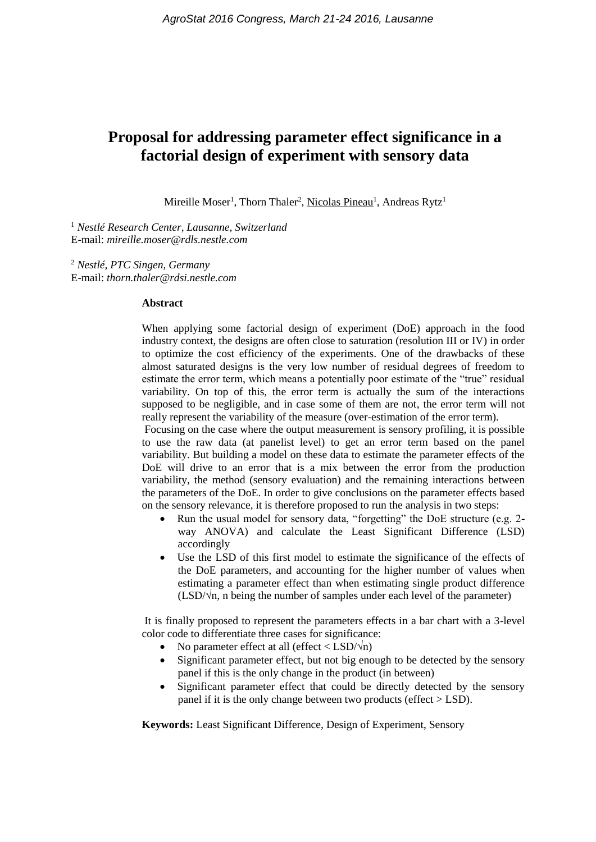# **Proposal for addressing parameter effect significance in a factorial design of experiment with sensory data**

Mireille Moser<sup>1</sup>, Thorn Thaler<sup>2</sup>, Nicolas Pineau<sup>1</sup>, Andreas Rytz<sup>1</sup>

<sup>1</sup> *Nestlé Research Center, Lausanne, Switzerland* E-mail: *mireille.moser@rdls.nestle.com*

<sup>2</sup> *Nestlé, PTC Singen, Germany* E-mail: *thorn.thaler@rdsi.nestle.com*

#### **Abstract**

When applying some factorial design of experiment (DoE) approach in the food industry context, the designs are often close to saturation (resolution III or IV) in order to optimize the cost efficiency of the experiments. One of the drawbacks of these almost saturated designs is the very low number of residual degrees of freedom to estimate the error term, which means a potentially poor estimate of the "true" residual variability. On top of this, the error term is actually the sum of the interactions supposed to be negligible, and in case some of them are not, the error term will not really represent the variability of the measure (over-estimation of the error term).

Focusing on the case where the output measurement is sensory profiling, it is possible to use the raw data (at panelist level) to get an error term based on the panel variability. But building a model on these data to estimate the parameter effects of the DoE will drive to an error that is a mix between the error from the production variability, the method (sensory evaluation) and the remaining interactions between the parameters of the DoE. In order to give conclusions on the parameter effects based on the sensory relevance, it is therefore proposed to run the analysis in two steps:

- Run the usual model for sensory data, "forgetting" the DoE structure (e.g. 2way ANOVA) and calculate the Least Significant Difference (LSD) accordingly
- Use the LSD of this first model to estimate the significance of the effects of the DoE parameters, and accounting for the higher number of values when estimating a parameter effect than when estimating single product difference (LSD/**√**n, n being the number of samples under each level of the parameter)

It is finally proposed to represent the parameters effects in a bar chart with a 3-level color code to differentiate three cases for significance:

- No parameter effect at all (effect < LSD/**√**n)
- Significant parameter effect, but not big enough to be detected by the sensory panel if this is the only change in the product (in between)
- Significant parameter effect that could be directly detected by the sensory panel if it is the only change between two products (effect  $>$  LSD).

**Keywords:** Least Significant Difference, Design of Experiment, Sensory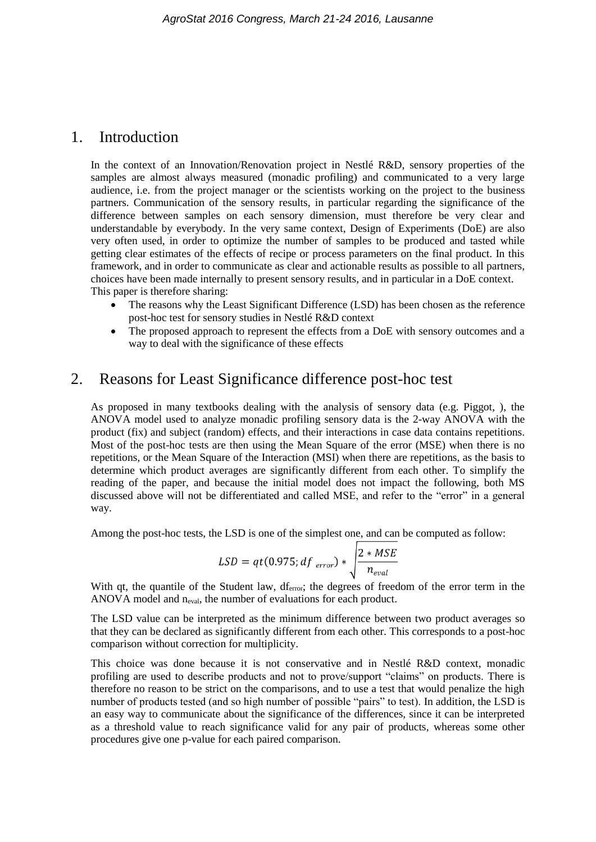## 1. Introduction

In the context of an Innovation/Renovation project in Nestlé R&D, sensory properties of the samples are almost always measured (monadic profiling) and communicated to a very large audience, i.e. from the project manager or the scientists working on the project to the business partners. Communication of the sensory results, in particular regarding the significance of the difference between samples on each sensory dimension, must therefore be very clear and understandable by everybody. In the very same context, Design of Experiments (DoE) are also very often used, in order to optimize the number of samples to be produced and tasted while getting clear estimates of the effects of recipe or process parameters on the final product. In this framework, and in order to communicate as clear and actionable results as possible to all partners, choices have been made internally to present sensory results, and in particular in a DoE context. This paper is therefore sharing:

- The reasons why the Least Significant Difference (LSD) has been chosen as the reference post-hoc test for sensory studies in Nestlé R&D context
- The proposed approach to represent the effects from a DoE with sensory outcomes and a way to deal with the significance of these effects

## 2. Reasons for Least Significance difference post-hoc test

As proposed in many textbooks dealing with the analysis of sensory data (e.g. Piggot, ), the ANOVA model used to analyze monadic profiling sensory data is the 2-way ANOVA with the product (fix) and subject (random) effects, and their interactions in case data contains repetitions. Most of the post-hoc tests are then using the Mean Square of the error (MSE) when there is no repetitions, or the Mean Square of the Interaction (MSI) when there are repetitions, as the basis to determine which product averages are significantly different from each other. To simplify the reading of the paper, and because the initial model does not impact the following, both MS discussed above will not be differentiated and called MSE, and refer to the "error" in a general way.

Among the post-hoc tests, the LSD is one of the simplest one, and can be computed as follow:

$$
LSD = qt(0.975; df_{error}) * \sqrt{\frac{2 * MSE}{n_{eval}}}
$$

With qt, the quantile of the Student law, df<sub>error</sub>; the degrees of freedom of the error term in the ANOVA model and n<sub>eval</sub>, the number of evaluations for each product.

The LSD value can be interpreted as the minimum difference between two product averages so that they can be declared as significantly different from each other. This corresponds to a post-hoc comparison without correction for multiplicity.

This choice was done because it is not conservative and in Nestlé R&D context, monadic profiling are used to describe products and not to prove/support "claims" on products. There is therefore no reason to be strict on the comparisons, and to use a test that would penalize the high number of products tested (and so high number of possible "pairs" to test). In addition, the LSD is an easy way to communicate about the significance of the differences, since it can be interpreted as a threshold value to reach significance valid for any pair of products, whereas some other procedures give one p-value for each paired comparison.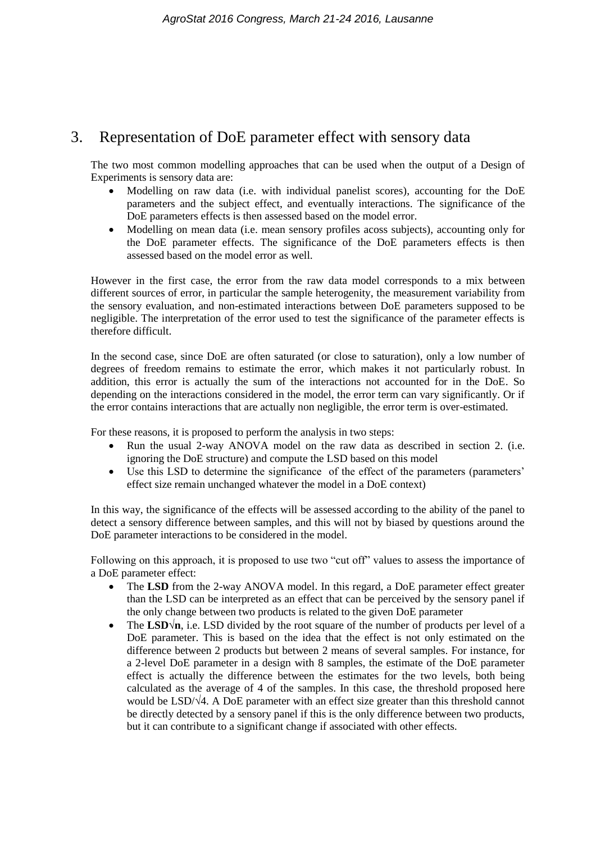# 3. Representation of DoE parameter effect with sensory data

The two most common modelling approaches that can be used when the output of a Design of Experiments is sensory data are:

- Modelling on raw data (i.e. with individual panelist scores), accounting for the DoE parameters and the subject effect, and eventually interactions. The significance of the DoE parameters effects is then assessed based on the model error.
- Modelling on mean data (i.e. mean sensory profiles acoss subjects), accounting only for the DoE parameter effects. The significance of the DoE parameters effects is then assessed based on the model error as well.

However in the first case, the error from the raw data model corresponds to a mix between different sources of error, in particular the sample heterogenity, the measurement variability from the sensory evaluation, and non-estimated interactions between DoE parameters supposed to be negligible. The interpretation of the error used to test the significance of the parameter effects is therefore difficult.

In the second case, since DoE are often saturated (or close to saturation), only a low number of degrees of freedom remains to estimate the error, which makes it not particularly robust. In addition, this error is actually the sum of the interactions not accounted for in the DoE. So depending on the interactions considered in the model, the error term can vary significantly. Or if the error contains interactions that are actually non negligible, the error term is over-estimated.

For these reasons, it is proposed to perform the analysis in two steps:

- Run the usual 2-way ANOVA model on the raw data as described in section 2. (i.e. ignoring the DoE structure) and compute the LSD based on this model
- Use this LSD to determine the significance of the effect of the parameters (parameters' effect size remain unchanged whatever the model in a DoE context)

In this way, the significance of the effects will be assessed according to the ability of the panel to detect a sensory difference between samples, and this will not by biased by questions around the DoE parameter interactions to be considered in the model.

Following on this approach, it is proposed to use two "cut off" values to assess the importance of a DoE parameter effect:

- The **LSD** from the 2-way ANOVA model. In this regard, a DoE parameter effect greater than the LSD can be interpreted as an effect that can be perceived by the sensory panel if the only change between two products is related to the given DoE parameter
- The LSD√n, i.e. LSD divided by the root square of the number of products per level of a DoE parameter. This is based on the idea that the effect is not only estimated on the difference between 2 products but between 2 means of several samples. For instance, for a 2-level DoE parameter in a design with 8 samples, the estimate of the DoE parameter effect is actually the difference between the estimates for the two levels, both being calculated as the average of 4 of the samples. In this case, the threshold proposed here would be LSD/ $\sqrt{4}$ . A DoE parameter with an effect size greater than this threshold cannot be directly detected by a sensory panel if this is the only difference between two products, but it can contribute to a significant change if associated with other effects.